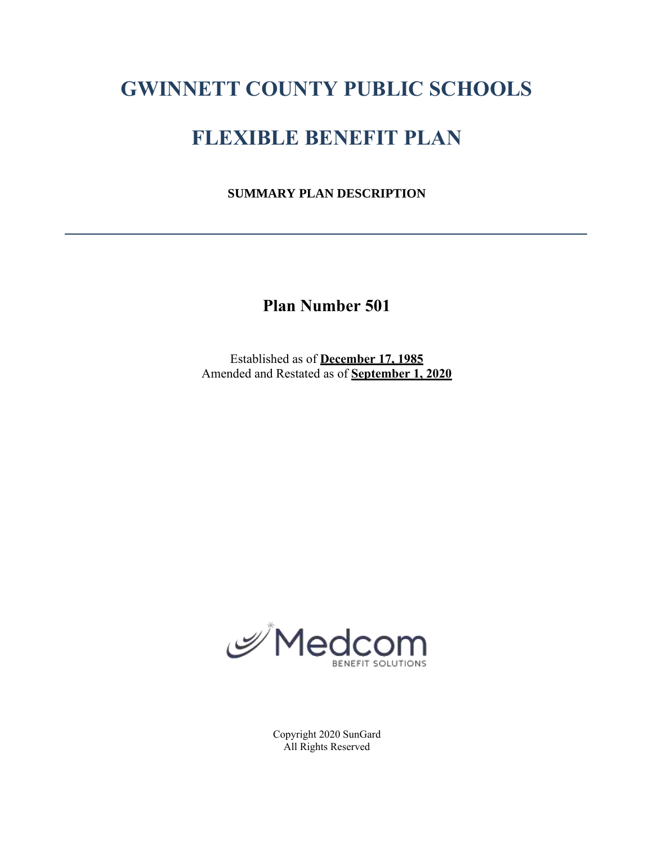# **GWINNETT COUNTY PUBLIC SCHOOLS**

# **FLEXIBLE BENEFIT PLAN**

**SUMMARY PLAN DESCRIPTION**

**Plan Number 501**

Established as of **December 17, 1985** Amended and Restated as of **September 1, 2020**



Copyright 2020 SunGard All Rights Reserved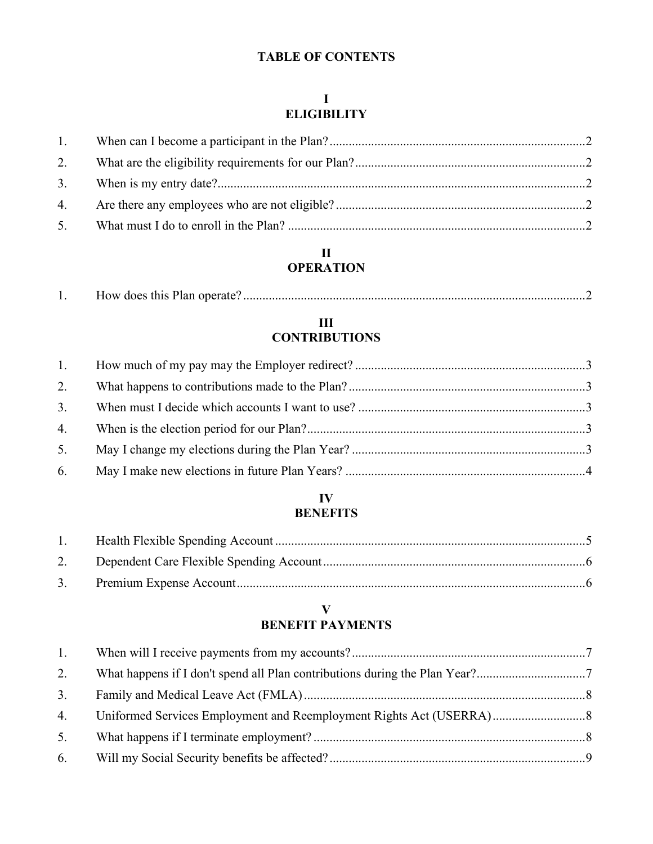# **TABLE OF CONTENTS**

# **I ELIGIBILITY**

# **II OPERATION**

| ' does this I<br>$\sim$<br>Plan operate<br>. . |
|------------------------------------------------|
|------------------------------------------------|

# **III CONTRIBUTIONS**

| 5. |  |
|----|--|
|    |  |

# **IV BENEFITS**

# **V BENEFIT PAYMENTS**

| 1. |  |
|----|--|
| 2. |  |
| 3. |  |
| 4. |  |
| 5. |  |
|    |  |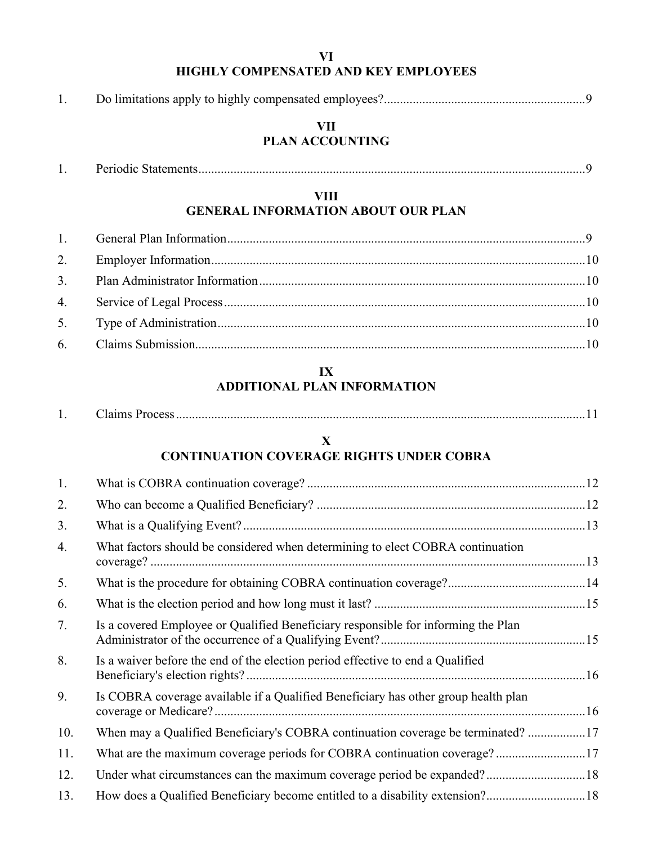# **VI HIGHLY COMPENSATED AND KEY EMPLOYEES**

|--|--|--|--|--|

# **VII PLAN ACCOUNTING**

| $\cdot$ | erioqic : |  |
|---------|-----------|--|
|---------|-----------|--|

# **VIII GENERAL INFORMATION ABOUT OUR PLAN**

# **IX ADDITIONAL PLAN INFORMATION**

| ланніх з<br>7000<br>. . |  |  |  |
|-------------------------|--|--|--|
|-------------------------|--|--|--|

# **X CONTINUATION COVERAGE RIGHTS UNDER COBRA**

| 1.  |                                                                                    |  |
|-----|------------------------------------------------------------------------------------|--|
| 2.  |                                                                                    |  |
| 3.  |                                                                                    |  |
| 4.  | What factors should be considered when determining to elect COBRA continuation     |  |
| 5.  |                                                                                    |  |
| 6.  |                                                                                    |  |
| 7.  | Is a covered Employee or Qualified Beneficiary responsible for informing the Plan  |  |
| 8.  | Is a waiver before the end of the election period effective to end a Qualified     |  |
| 9.  | Is COBRA coverage available if a Qualified Beneficiary has other group health plan |  |
| 10. | When may a Qualified Beneficiary's COBRA continuation coverage be terminated? 17   |  |
| 11. | What are the maximum coverage periods for COBRA continuation coverage?17           |  |
| 12. |                                                                                    |  |
| 13. | How does a Qualified Beneficiary become entitled to a disability extension?18      |  |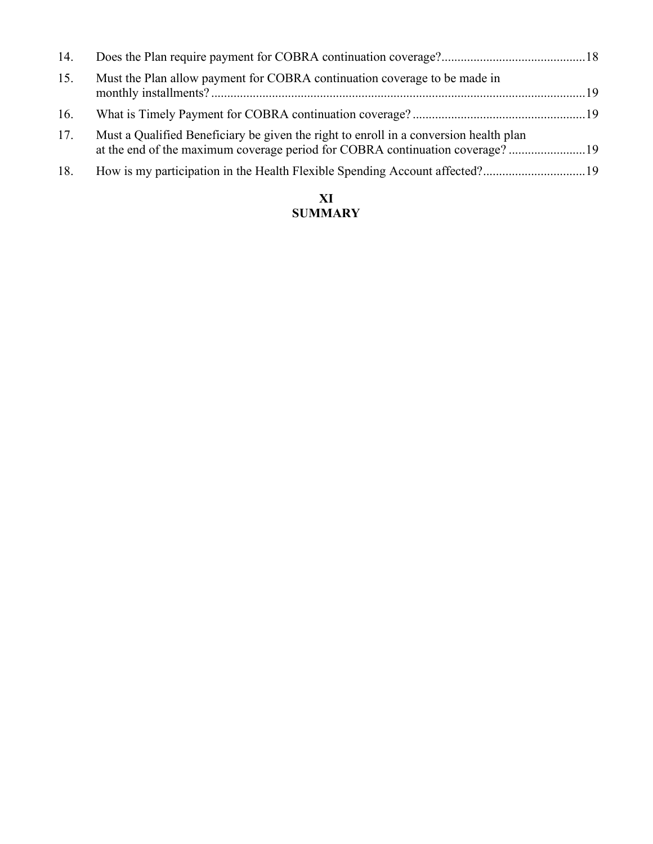| 14. |                                                                                                                                                                       |  |
|-----|-----------------------------------------------------------------------------------------------------------------------------------------------------------------------|--|
| 15. | Must the Plan allow payment for COBRA continuation coverage to be made in                                                                                             |  |
| 16. |                                                                                                                                                                       |  |
| 17. | Must a Qualified Beneficiary be given the right to enroll in a conversion health plan<br>at the end of the maximum coverage period for COBRA continuation coverage?19 |  |
| 18. |                                                                                                                                                                       |  |
|     |                                                                                                                                                                       |  |

# **XI SUMMARY**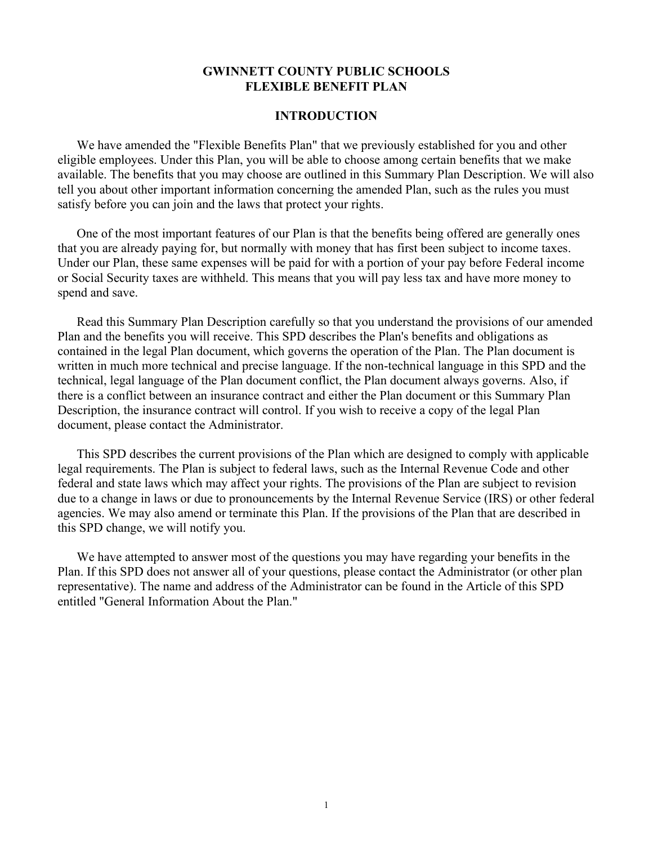### **GWINNETT COUNTY PUBLIC SCHOOLS FLEXIBLE BENEFIT PLAN**

#### **INTRODUCTION**

We have amended the "Flexible Benefits Plan" that we previously established for you and other eligible employees. Under this Plan, you will be able to choose among certain benefits that we make available. The benefits that you may choose are outlined in this Summary Plan Description. We will also tell you about other important information concerning the amended Plan, such as the rules you must satisfy before you can join and the laws that protect your rights.

One of the most important features of our Plan is that the benefits being offered are generally ones that you are already paying for, but normally with money that has first been subject to income taxes. Under our Plan, these same expenses will be paid for with a portion of your pay before Federal income or Social Security taxes are withheld. This means that you will pay less tax and have more money to spend and save.

Read this Summary Plan Description carefully so that you understand the provisions of our amended Plan and the benefits you will receive. This SPD describes the Plan's benefits and obligations as contained in the legal Plan document, which governs the operation of the Plan. The Plan document is written in much more technical and precise language. If the non-technical language in this SPD and the technical, legal language of the Plan document conflict, the Plan document always governs. Also, if there is a conflict between an insurance contract and either the Plan document or this Summary Plan Description, the insurance contract will control. If you wish to receive a copy of the legal Plan document, please contact the Administrator.

This SPD describes the current provisions of the Plan which are designed to comply with applicable legal requirements. The Plan is subject to federal laws, such as the Internal Revenue Code and other federal and state laws which may affect your rights. The provisions of the Plan are subject to revision due to a change in laws or due to pronouncements by the Internal Revenue Service (IRS) or other federal agencies. We may also amend or terminate this Plan. If the provisions of the Plan that are described in this SPD change, we will notify you.

We have attempted to answer most of the questions you may have regarding your benefits in the Plan. If this SPD does not answer all of your questions, please contact the Administrator (or other plan representative). The name and address of the Administrator can be found in the Article of this SPD entitled "General Information About the Plan."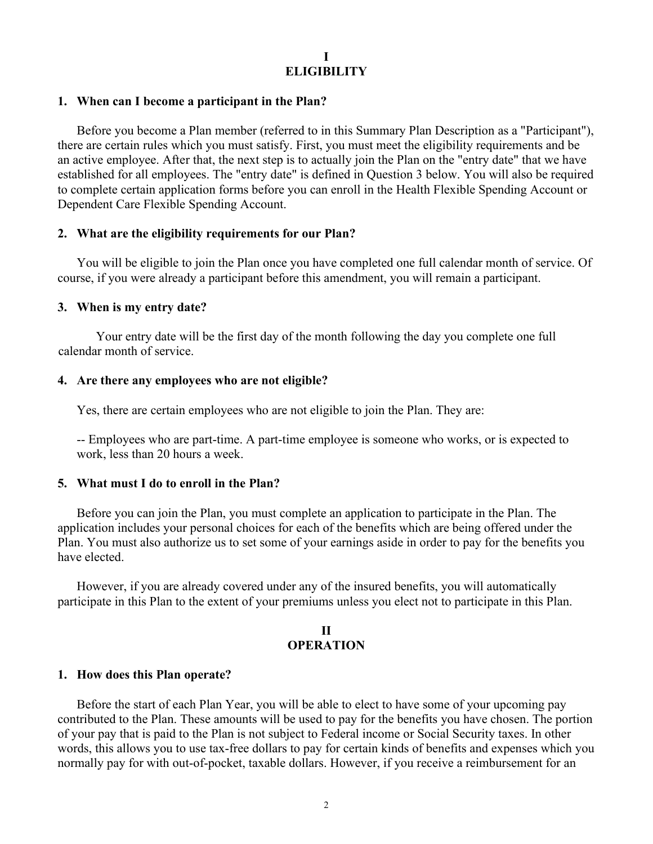### **I ELIGIBILITY**

#### **1. When can I become a participant in the Plan?**

Before you become a Plan member (referred to in this Summary Plan Description as a "Participant"), there are certain rules which you must satisfy. First, you must meet the eligibility requirements and be an active employee. After that, the next step is to actually join the Plan on the "entry date" that we have established for all employees. The "entry date" is defined in Question 3 below. You will also be required to complete certain application forms before you can enroll in the Health Flexible Spending Account or Dependent Care Flexible Spending Account.

#### **2. What are the eligibility requirements for our Plan?**

You will be eligible to join the Plan once you have completed one full calendar month of service. Of course, if you were already a participant before this amendment, you will remain a participant.

#### **3. When is my entry date?**

Your entry date will be the first day of the month following the day you complete one full calendar month of service.

#### **4. Are there any employees who are not eligible?**

Yes, there are certain employees who are not eligible to join the Plan. They are:

-- Employees who are part-time. A part-time employee is someone who works, or is expected to work, less than 20 hours a week.

#### **5. What must I do to enroll in the Plan?**

Before you can join the Plan, you must complete an application to participate in the Plan. The application includes your personal choices for each of the benefits which are being offered under the Plan. You must also authorize us to set some of your earnings aside in order to pay for the benefits you have elected.

However, if you are already covered under any of the insured benefits, you will automatically participate in this Plan to the extent of your premiums unless you elect not to participate in this Plan.

# **II OPERATION**

#### **1. How does this Plan operate?**

Before the start of each Plan Year, you will be able to elect to have some of your upcoming pay contributed to the Plan. These amounts will be used to pay for the benefits you have chosen. The portion of your pay that is paid to the Plan is not subject to Federal income or Social Security taxes. In other words, this allows you to use tax-free dollars to pay for certain kinds of benefits and expenses which you normally pay for with out-of-pocket, taxable dollars. However, if you receive a reimbursement for an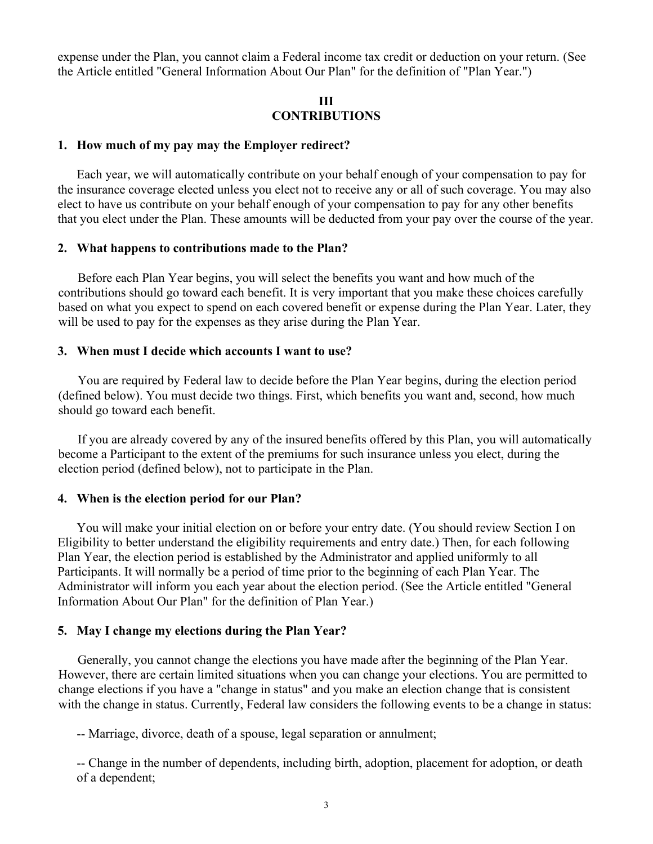expense under the Plan, you cannot claim a Federal income tax credit or deduction on your return. (See the Article entitled "General Information About Our Plan" for the definition of "Plan Year.")

#### **III CONTRIBUTIONS**

#### **1. How much of my pay may the Employer redirect?**

Each year, we will automatically contribute on your behalf enough of your compensation to pay for the insurance coverage elected unless you elect not to receive any or all of such coverage. You may also elect to have us contribute on your behalf enough of your compensation to pay for any other benefits that you elect under the Plan. These amounts will be deducted from your pay over the course of the year.

#### **2. What happens to contributions made to the Plan?**

Before each Plan Year begins, you will select the benefits you want and how much of the contributions should go toward each benefit. It is very important that you make these choices carefully based on what you expect to spend on each covered benefit or expense during the Plan Year. Later, they will be used to pay for the expenses as they arise during the Plan Year.

#### **3. When must I decide which accounts I want to use?**

You are required by Federal law to decide before the Plan Year begins, during the election period (defined below). You must decide two things. First, which benefits you want and, second, how much should go toward each benefit.

If you are already covered by any of the insured benefits offered by this Plan, you will automatically become a Participant to the extent of the premiums for such insurance unless you elect, during the election period (defined below), not to participate in the Plan.

#### **4. When is the election period for our Plan?**

You will make your initial election on or before your entry date. (You should review Section I on Eligibility to better understand the eligibility requirements and entry date.) Then, for each following Plan Year, the election period is established by the Administrator and applied uniformly to all Participants. It will normally be a period of time prior to the beginning of each Plan Year. The Administrator will inform you each year about the election period. (See the Article entitled "General Information About Our Plan" for the definition of Plan Year.)

#### **5. May I change my elections during the Plan Year?**

Generally, you cannot change the elections you have made after the beginning of the Plan Year. However, there are certain limited situations when you can change your elections. You are permitted to change elections if you have a "change in status" and you make an election change that is consistent with the change in status. Currently, Federal law considers the following events to be a change in status:

-- Marriage, divorce, death of a spouse, legal separation or annulment;

-- Change in the number of dependents, including birth, adoption, placement for adoption, or death of a dependent;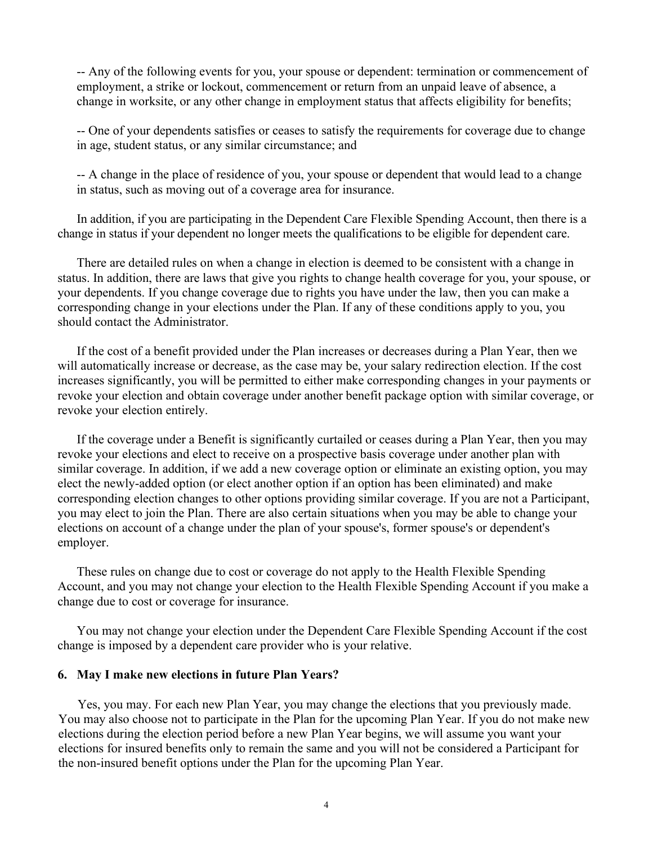-- Any of the following events for you, your spouse or dependent: termination or commencement of employment, a strike or lockout, commencement or return from an unpaid leave of absence, a change in worksite, or any other change in employment status that affects eligibility for benefits;

-- One of your dependents satisfies or ceases to satisfy the requirements for coverage due to change in age, student status, or any similar circumstance; and

-- A change in the place of residence of you, your spouse or dependent that would lead to a change in status, such as moving out of a coverage area for insurance.

In addition, if you are participating in the Dependent Care Flexible Spending Account, then there is a change in status if your dependent no longer meets the qualifications to be eligible for dependent care.

There are detailed rules on when a change in election is deemed to be consistent with a change in status. In addition, there are laws that give you rights to change health coverage for you, your spouse, or your dependents. If you change coverage due to rights you have under the law, then you can make a corresponding change in your elections under the Plan. If any of these conditions apply to you, you should contact the Administrator.

If the cost of a benefit provided under the Plan increases or decreases during a Plan Year, then we will automatically increase or decrease, as the case may be, your salary redirection election. If the cost increases significantly, you will be permitted to either make corresponding changes in your payments or revoke your election and obtain coverage under another benefit package option with similar coverage, or revoke your election entirely.

If the coverage under a Benefit is significantly curtailed or ceases during a Plan Year, then you may revoke your elections and elect to receive on a prospective basis coverage under another plan with similar coverage. In addition, if we add a new coverage option or eliminate an existing option, you may elect the newly-added option (or elect another option if an option has been eliminated) and make corresponding election changes to other options providing similar coverage. If you are not a Participant, you may elect to join the Plan. There are also certain situations when you may be able to change your elections on account of a change under the plan of your spouse's, former spouse's or dependent's employer.

These rules on change due to cost or coverage do not apply to the Health Flexible Spending Account, and you may not change your election to the Health Flexible Spending Account if you make a change due to cost or coverage for insurance.

You may not change your election under the Dependent Care Flexible Spending Account if the cost change is imposed by a dependent care provider who is your relative.

#### **6. May I make new elections in future Plan Years?**

Yes, you may. For each new Plan Year, you may change the elections that you previously made. You may also choose not to participate in the Plan for the upcoming Plan Year. If you do not make new elections during the election period before a new Plan Year begins, we will assume you want your elections for insured benefits only to remain the same and you will not be considered a Participant for the non-insured benefit options under the Plan for the upcoming Plan Year.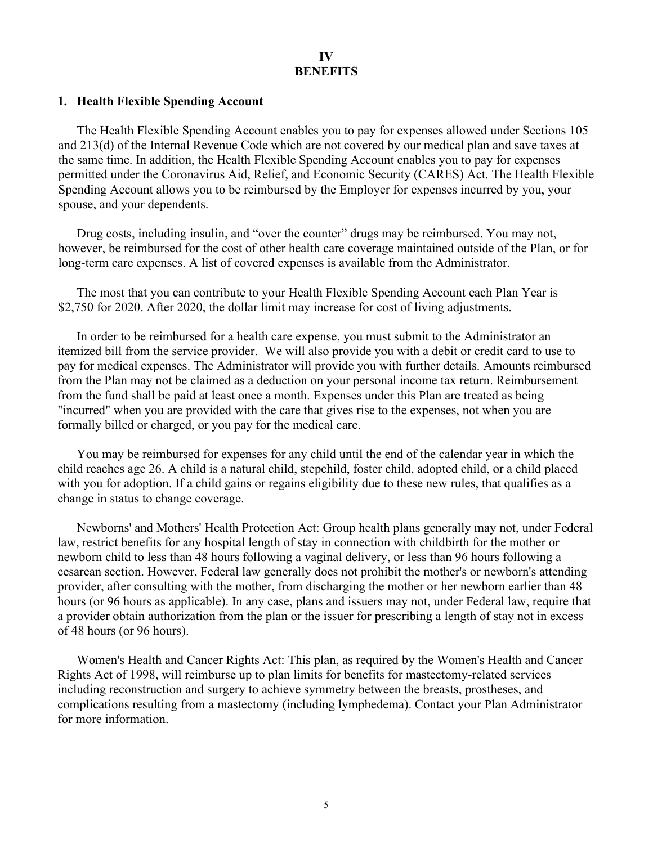# **IV BENEFITS**

#### **1. Health Flexible Spending Account**

The Health Flexible Spending Account enables you to pay for expenses allowed under Sections 105 and 213(d) of the Internal Revenue Code which are not covered by our medical plan and save taxes at the same time. In addition, the Health Flexible Spending Account enables you to pay for expenses permitted under the Coronavirus Aid, Relief, and Economic Security (CARES) Act. The Health Flexible Spending Account allows you to be reimbursed by the Employer for expenses incurred by you, your spouse, and your dependents.

Drug costs, including insulin, and "over the counter" drugs may be reimbursed. You may not, however, be reimbursed for the cost of other health care coverage maintained outside of the Plan, or for long-term care expenses. A list of covered expenses is available from the Administrator.

The most that you can contribute to your Health Flexible Spending Account each Plan Year is \$2,750 for 2020. After 2020, the dollar limit may increase for cost of living adjustments.

In order to be reimbursed for a health care expense, you must submit to the Administrator an itemized bill from the service provider. We will also provide you with a debit or credit card to use to pay for medical expenses. The Administrator will provide you with further details. Amounts reimbursed from the Plan may not be claimed as a deduction on your personal income tax return. Reimbursement from the fund shall be paid at least once a month. Expenses under this Plan are treated as being "incurred" when you are provided with the care that gives rise to the expenses, not when you are formally billed or charged, or you pay for the medical care.

You may be reimbursed for expenses for any child until the end of the calendar year in which the child reaches age 26. A child is a natural child, stepchild, foster child, adopted child, or a child placed with you for adoption. If a child gains or regains eligibility due to these new rules, that qualifies as a change in status to change coverage.

Newborns' and Mothers' Health Protection Act: Group health plans generally may not, under Federal law, restrict benefits for any hospital length of stay in connection with childbirth for the mother or newborn child to less than 48 hours following a vaginal delivery, or less than 96 hours following a cesarean section. However, Federal law generally does not prohibit the mother's or newborn's attending provider, after consulting with the mother, from discharging the mother or her newborn earlier than 48 hours (or 96 hours as applicable). In any case, plans and issuers may not, under Federal law, require that a provider obtain authorization from the plan or the issuer for prescribing a length of stay not in excess of 48 hours (or 96 hours).

Women's Health and Cancer Rights Act: This plan, as required by the Women's Health and Cancer Rights Act of 1998, will reimburse up to plan limits for benefits for mastectomy-related services including reconstruction and surgery to achieve symmetry between the breasts, prostheses, and complications resulting from a mastectomy (including lymphedema). Contact your Plan Administrator for more information.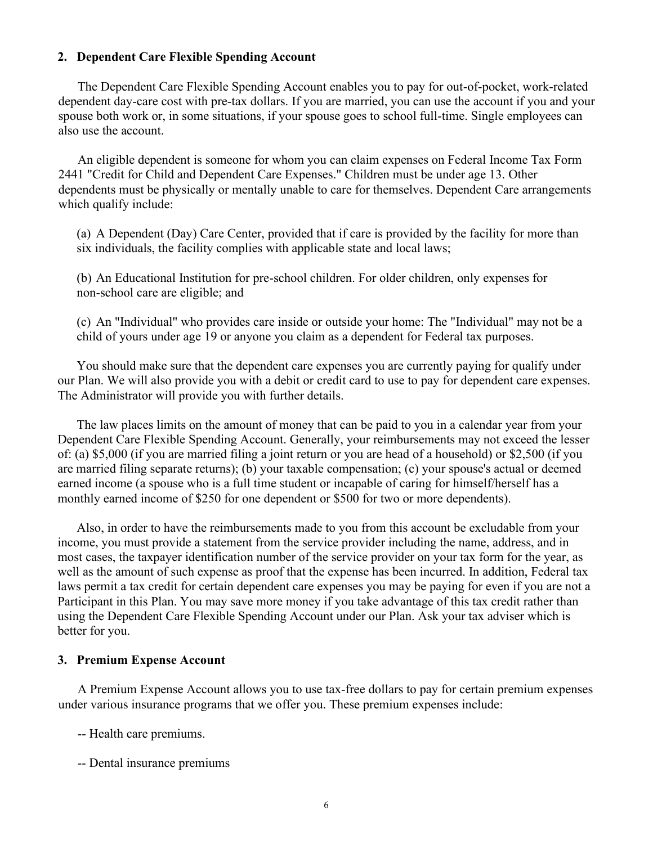### **2. Dependent Care Flexible Spending Account**

The Dependent Care Flexible Spending Account enables you to pay for out-of-pocket, work-related dependent day-care cost with pre-tax dollars. If you are married, you can use the account if you and your spouse both work or, in some situations, if your spouse goes to school full-time. Single employees can also use the account.

An eligible dependent is someone for whom you can claim expenses on Federal Income Tax Form 2441 "Credit for Child and Dependent Care Expenses." Children must be under age 13. Other dependents must be physically or mentally unable to care for themselves. Dependent Care arrangements which qualify include:

(a) A Dependent (Day) Care Center, provided that if care is provided by the facility for more than six individuals, the facility complies with applicable state and local laws;

(b) An Educational Institution for pre-school children. For older children, only expenses for non-school care are eligible; and

(c) An "Individual" who provides care inside or outside your home: The "Individual" may not be a child of yours under age 19 or anyone you claim as a dependent for Federal tax purposes.

You should make sure that the dependent care expenses you are currently paying for qualify under our Plan. We will also provide you with a debit or credit card to use to pay for dependent care expenses. The Administrator will provide you with further details.

The law places limits on the amount of money that can be paid to you in a calendar year from your Dependent Care Flexible Spending Account. Generally, your reimbursements may not exceed the lesser of: (a) \$5,000 (if you are married filing a joint return or you are head of a household) or \$2,500 (if you are married filing separate returns); (b) your taxable compensation; (c) your spouse's actual or deemed earned income (a spouse who is a full time student or incapable of caring for himself/herself has a monthly earned income of \$250 for one dependent or \$500 for two or more dependents).

Also, in order to have the reimbursements made to you from this account be excludable from your income, you must provide a statement from the service provider including the name, address, and in most cases, the taxpayer identification number of the service provider on your tax form for the year, as well as the amount of such expense as proof that the expense has been incurred. In addition, Federal tax laws permit a tax credit for certain dependent care expenses you may be paying for even if you are not a Participant in this Plan. You may save more money if you take advantage of this tax credit rather than using the Dependent Care Flexible Spending Account under our Plan. Ask your tax adviser which is better for you.

#### **3. Premium Expense Account**

A Premium Expense Account allows you to use tax-free dollars to pay for certain premium expenses under various insurance programs that we offer you. These premium expenses include:

- -- Health care premiums.
- -- Dental insurance premiums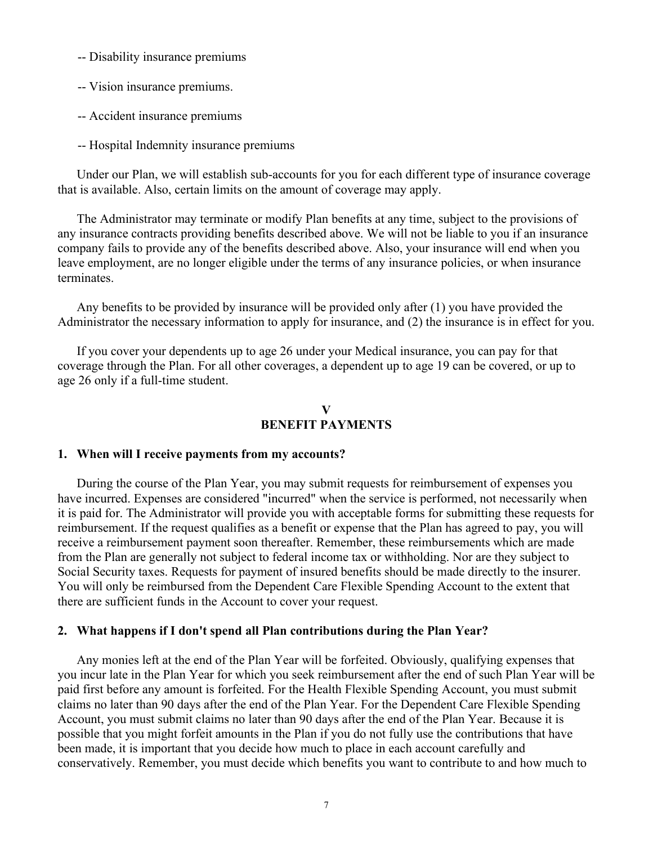- -- Disability insurance premiums
- -- Vision insurance premiums.
- -- Accident insurance premiums
- -- Hospital Indemnity insurance premiums

Under our Plan, we will establish sub-accounts for you for each different type of insurance coverage that is available. Also, certain limits on the amount of coverage may apply.

The Administrator may terminate or modify Plan benefits at any time, subject to the provisions of any insurance contracts providing benefits described above. We will not be liable to you if an insurance company fails to provide any of the benefits described above. Also, your insurance will end when you leave employment, are no longer eligible under the terms of any insurance policies, or when insurance terminates.

Any benefits to be provided by insurance will be provided only after (1) you have provided the Administrator the necessary information to apply for insurance, and (2) the insurance is in effect for you.

If you cover your dependents up to age 26 under your Medical insurance, you can pay for that coverage through the Plan. For all other coverages, a dependent up to age 19 can be covered, or up to age 26 only if a full-time student.

### **V BENEFIT PAYMENTS**

#### **1. When will I receive payments from my accounts?**

During the course of the Plan Year, you may submit requests for reimbursement of expenses you have incurred. Expenses are considered "incurred" when the service is performed, not necessarily when it is paid for. The Administrator will provide you with acceptable forms for submitting these requests for reimbursement. If the request qualifies as a benefit or expense that the Plan has agreed to pay, you will receive a reimbursement payment soon thereafter. Remember, these reimbursements which are made from the Plan are generally not subject to federal income tax or withholding. Nor are they subject to Social Security taxes. Requests for payment of insured benefits should be made directly to the insurer. You will only be reimbursed from the Dependent Care Flexible Spending Account to the extent that there are sufficient funds in the Account to cover your request.

#### **2. What happens if I don't spend all Plan contributions during the Plan Year?**

Any monies left at the end of the Plan Year will be forfeited. Obviously, qualifying expenses that you incur late in the Plan Year for which you seek reimbursement after the end of such Plan Year will be paid first before any amount is forfeited. For the Health Flexible Spending Account, you must submit claims no later than 90 days after the end of the Plan Year. For the Dependent Care Flexible Spending Account, you must submit claims no later than 90 days after the end of the Plan Year. Because it is possible that you might forfeit amounts in the Plan if you do not fully use the contributions that have been made, it is important that you decide how much to place in each account carefully and conservatively. Remember, you must decide which benefits you want to contribute to and how much to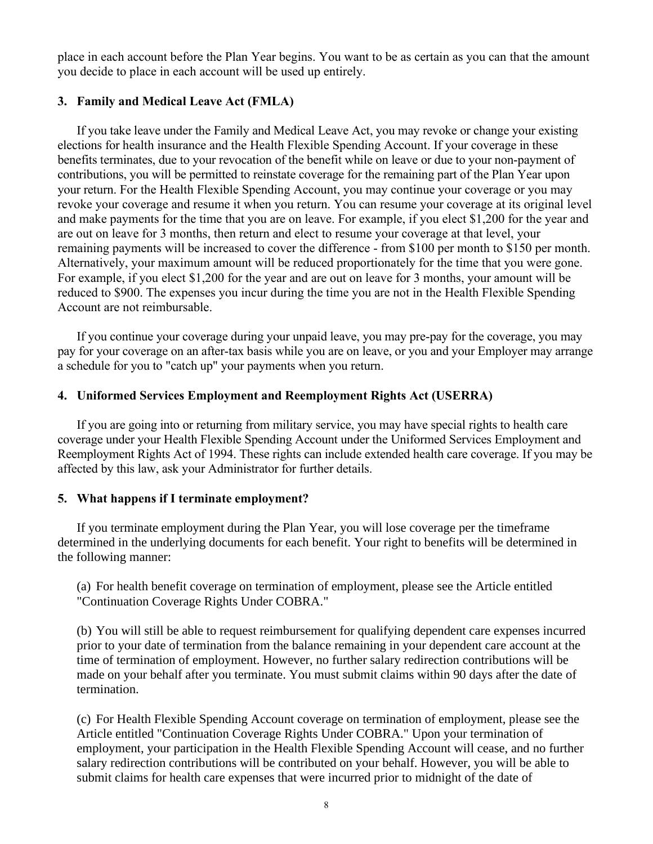place in each account before the Plan Year begins. You want to be as certain as you can that the amount you decide to place in each account will be used up entirely.

# **3. Family and Medical Leave Act (FMLA)**

If you take leave under the Family and Medical Leave Act, you may revoke or change your existing elections for health insurance and the Health Flexible Spending Account. If your coverage in these benefits terminates, due to your revocation of the benefit while on leave or due to your non-payment of contributions, you will be permitted to reinstate coverage for the remaining part of the Plan Year upon your return. For the Health Flexible Spending Account, you may continue your coverage or you may revoke your coverage and resume it when you return. You can resume your coverage at its original level and make payments for the time that you are on leave. For example, if you elect \$1,200 for the year and are out on leave for 3 months, then return and elect to resume your coverage at that level, your remaining payments will be increased to cover the difference - from \$100 per month to \$150 per month. Alternatively, your maximum amount will be reduced proportionately for the time that you were gone. For example, if you elect \$1,200 for the year and are out on leave for 3 months, your amount will be reduced to \$900. The expenses you incur during the time you are not in the Health Flexible Spending Account are not reimbursable.

If you continue your coverage during your unpaid leave, you may pre-pay for the coverage, you may pay for your coverage on an after-tax basis while you are on leave, or you and your Employer may arrange a schedule for you to "catch up" your payments when you return.

### **4. Uniformed Services Employment and Reemployment Rights Act (USERRA)**

If you are going into or returning from military service, you may have special rights to health care coverage under your Health Flexible Spending Account under the Uniformed Services Employment and Reemployment Rights Act of 1994. These rights can include extended health care coverage. If you may be affected by this law, ask your Administrator for further details.

#### **5. What happens if I terminate employment?**

If you terminate employment during the Plan Year, you will lose coverage per the timeframe determined in the underlying documents for each benefit. Your right to benefits will be determined in the following manner:

(a) For health benefit coverage on termination of employment, please see the Article entitled "Continuation Coverage Rights Under COBRA."

(b) You will still be able to request reimbursement for qualifying dependent care expenses incurred prior to your date of termination from the balance remaining in your dependent care account at the time of termination of employment. However, no further salary redirection contributions will be made on your behalf after you terminate. You must submit claims within 90 days after the date of termination.

(c) For Health Flexible Spending Account coverage on termination of employment, please see the Article entitled "Continuation Coverage Rights Under COBRA." Upon your termination of employment, your participation in the Health Flexible Spending Account will cease, and no further salary redirection contributions will be contributed on your behalf. However, you will be able to submit claims for health care expenses that were incurred prior to midnight of the date of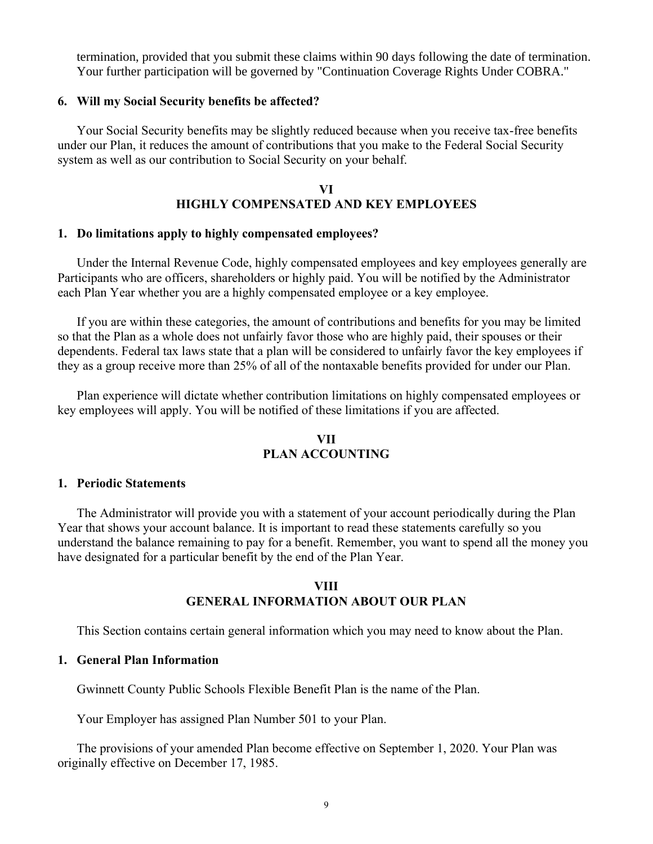termination, provided that you submit these claims within 90 days following the date of termination. Your further participation will be governed by "Continuation Coverage Rights Under COBRA."

#### **6. Will my Social Security benefits be affected?**

Your Social Security benefits may be slightly reduced because when you receive tax-free benefits under our Plan, it reduces the amount of contributions that you make to the Federal Social Security system as well as our contribution to Social Security on your behalf.

# **VI HIGHLY COMPENSATED AND KEY EMPLOYEES**

#### **1. Do limitations apply to highly compensated employees?**

Under the Internal Revenue Code, highly compensated employees and key employees generally are Participants who are officers, shareholders or highly paid. You will be notified by the Administrator each Plan Year whether you are a highly compensated employee or a key employee.

If you are within these categories, the amount of contributions and benefits for you may be limited so that the Plan as a whole does not unfairly favor those who are highly paid, their spouses or their dependents. Federal tax laws state that a plan will be considered to unfairly favor the key employees if they as a group receive more than 25% of all of the nontaxable benefits provided for under our Plan.

Plan experience will dictate whether contribution limitations on highly compensated employees or key employees will apply. You will be notified of these limitations if you are affected.

# **VII PLAN ACCOUNTING**

#### **1. Periodic Statements**

The Administrator will provide you with a statement of your account periodically during the Plan Year that shows your account balance. It is important to read these statements carefully so you understand the balance remaining to pay for a benefit. Remember, you want to spend all the money you have designated for a particular benefit by the end of the Plan Year.

#### **VIII GENERAL INFORMATION ABOUT OUR PLAN**

This Section contains certain general information which you may need to know about the Plan.

#### **1. General Plan Information**

Gwinnett County Public Schools Flexible Benefit Plan is the name of the Plan.

Your Employer has assigned Plan Number 501 to your Plan.

The provisions of your amended Plan become effective on September 1, 2020. Your Plan was originally effective on December 17, 1985.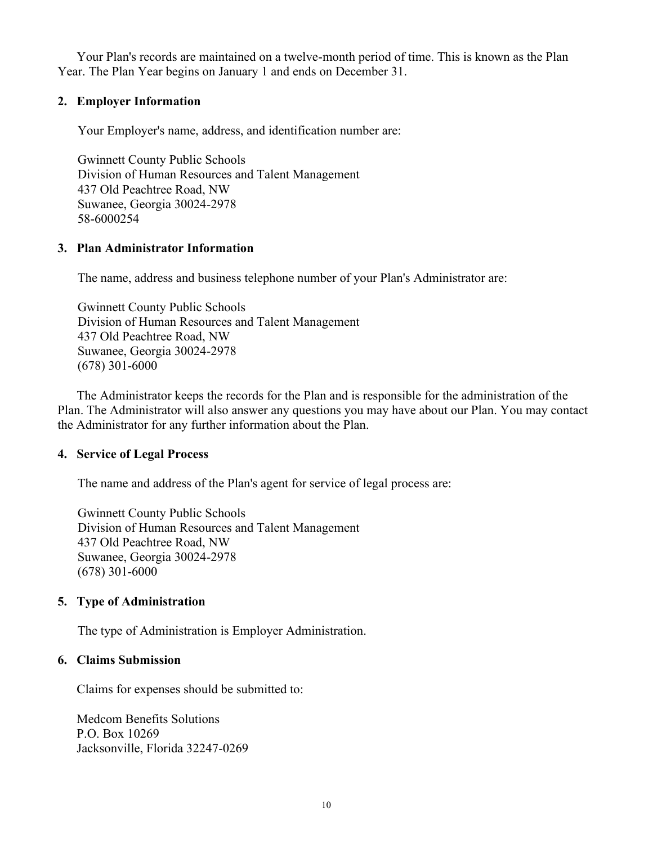Your Plan's records are maintained on a twelve-month period of time. This is known as the Plan Year. The Plan Year begins on January 1 and ends on December 31.

# **2. Employer Information**

Your Employer's name, address, and identification number are:

Gwinnett County Public Schools Division of Human Resources and Talent Management 437 Old Peachtree Road, NW Suwanee, Georgia 30024-2978 58-6000254

# **3. Plan Administrator Information**

The name, address and business telephone number of your Plan's Administrator are:

Gwinnett County Public Schools Division of Human Resources and Talent Management 437 Old Peachtree Road, NW Suwanee, Georgia 30024-2978 (678) 301-6000

The Administrator keeps the records for the Plan and is responsible for the administration of the Plan. The Administrator will also answer any questions you may have about our Plan. You may contact the Administrator for any further information about the Plan.

# **4. Service of Legal Process**

The name and address of the Plan's agent for service of legal process are:

Gwinnett County Public Schools Division of Human Resources and Talent Management 437 Old Peachtree Road, NW Suwanee, Georgia 30024-2978 (678) 301-6000

# **5. Type of Administration**

The type of Administration is Employer Administration.

# **6. Claims Submission**

Claims for expenses should be submitted to:

Medcom Benefits Solutions P.O. Box 10269 Jacksonville, Florida 32247-0269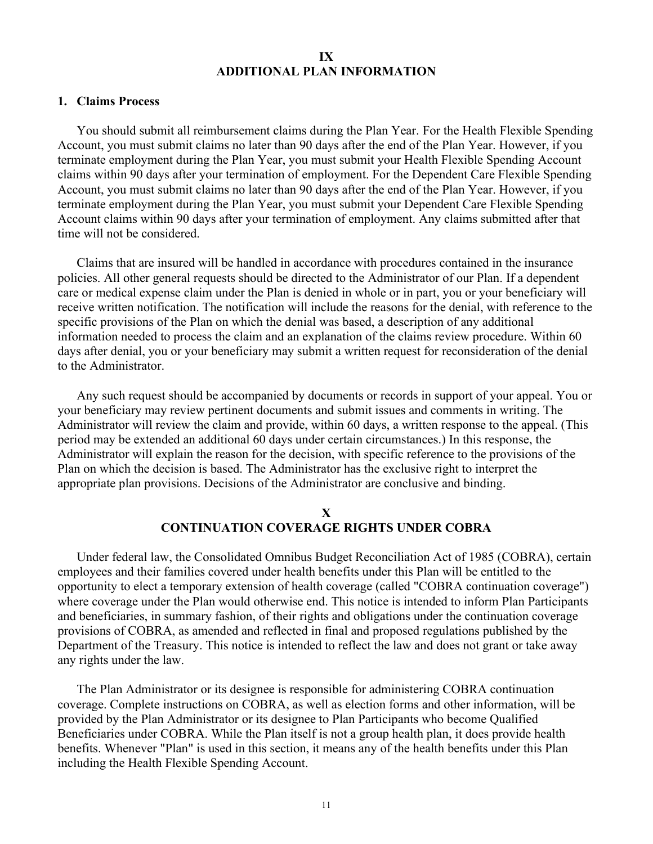#### **IX ADDITIONAL PLAN INFORMATION**

#### **1. Claims Process**

You should submit all reimbursement claims during the Plan Year. For the Health Flexible Spending Account, you must submit claims no later than 90 days after the end of the Plan Year. However, if you terminate employment during the Plan Year, you must submit your Health Flexible Spending Account claims within 90 days after your termination of employment. For the Dependent Care Flexible Spending Account, you must submit claims no later than 90 days after the end of the Plan Year. However, if you terminate employment during the Plan Year, you must submit your Dependent Care Flexible Spending Account claims within 90 days after your termination of employment. Any claims submitted after that time will not be considered.

Claims that are insured will be handled in accordance with procedures contained in the insurance policies. All other general requests should be directed to the Administrator of our Plan. If a dependent care or medical expense claim under the Plan is denied in whole or in part, you or your beneficiary will receive written notification. The notification will include the reasons for the denial, with reference to the specific provisions of the Plan on which the denial was based, a description of any additional information needed to process the claim and an explanation of the claims review procedure. Within 60 days after denial, you or your beneficiary may submit a written request for reconsideration of the denial to the Administrator.

Any such request should be accompanied by documents or records in support of your appeal. You or your beneficiary may review pertinent documents and submit issues and comments in writing. The Administrator will review the claim and provide, within 60 days, a written response to the appeal. (This period may be extended an additional 60 days under certain circumstances.) In this response, the Administrator will explain the reason for the decision, with specific reference to the provisions of the Plan on which the decision is based. The Administrator has the exclusive right to interpret the appropriate plan provisions. Decisions of the Administrator are conclusive and binding.

### **X CONTINUATION COVERAGE RIGHTS UNDER COBRA**

Under federal law, the Consolidated Omnibus Budget Reconciliation Act of 1985 (COBRA), certain employees and their families covered under health benefits under this Plan will be entitled to the opportunity to elect a temporary extension of health coverage (called "COBRA continuation coverage") where coverage under the Plan would otherwise end. This notice is intended to inform Plan Participants and beneficiaries, in summary fashion, of their rights and obligations under the continuation coverage provisions of COBRA, as amended and reflected in final and proposed regulations published by the Department of the Treasury. This notice is intended to reflect the law and does not grant or take away any rights under the law.

The Plan Administrator or its designee is responsible for administering COBRA continuation coverage. Complete instructions on COBRA, as well as election forms and other information, will be provided by the Plan Administrator or its designee to Plan Participants who become Qualified Beneficiaries under COBRA. While the Plan itself is not a group health plan, it does provide health benefits. Whenever "Plan" is used in this section, it means any of the health benefits under this Plan including the Health Flexible Spending Account.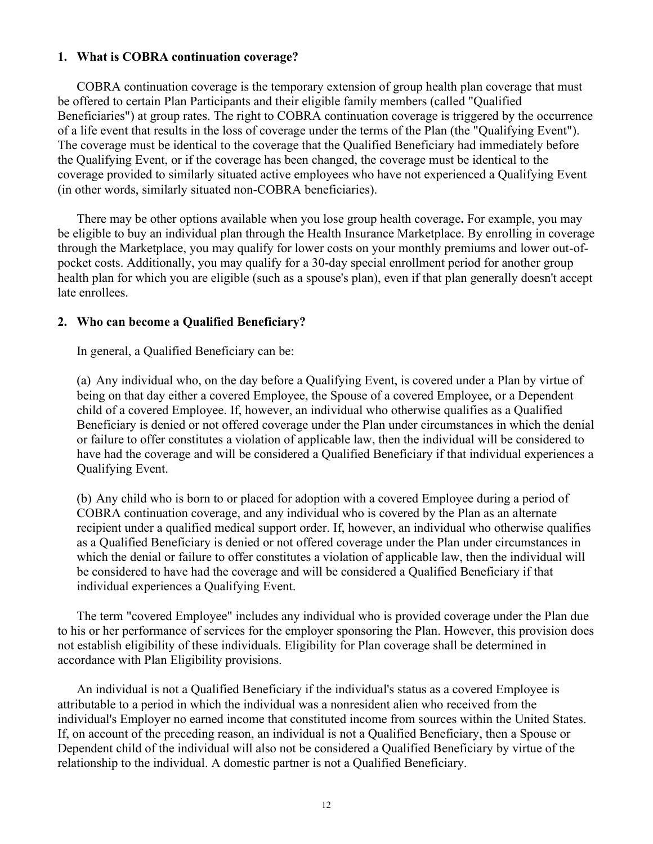### **1. What is COBRA continuation coverage?**

COBRA continuation coverage is the temporary extension of group health plan coverage that must be offered to certain Plan Participants and their eligible family members (called "Qualified Beneficiaries") at group rates. The right to COBRA continuation coverage is triggered by the occurrence of a life event that results in the loss of coverage under the terms of the Plan (the "Qualifying Event"). The coverage must be identical to the coverage that the Qualified Beneficiary had immediately before the Qualifying Event, or if the coverage has been changed, the coverage must be identical to the coverage provided to similarly situated active employees who have not experienced a Qualifying Event (in other words, similarly situated non-COBRA beneficiaries).

There may be other options available when you lose group health coverage**.** For example, you may be eligible to buy an individual plan through the Health Insurance Marketplace. By enrolling in coverage through the Marketplace, you may qualify for lower costs on your monthly premiums and lower out-ofpocket costs. Additionally, you may qualify for a 30-day special enrollment period for another group health plan for which you are eligible (such as a spouse's plan), even if that plan generally doesn't accept late enrollees.

# **2. Who can become a Qualified Beneficiary?**

In general, a Qualified Beneficiary can be:

(a) Any individual who, on the day before a Qualifying Event, is covered under a Plan by virtue of being on that day either a covered Employee, the Spouse of a covered Employee, or a Dependent child of a covered Employee. If, however, an individual who otherwise qualifies as a Qualified Beneficiary is denied or not offered coverage under the Plan under circumstances in which the denial or failure to offer constitutes a violation of applicable law, then the individual will be considered to have had the coverage and will be considered a Qualified Beneficiary if that individual experiences a Qualifying Event.

(b) Any child who is born to or placed for adoption with a covered Employee during a period of COBRA continuation coverage, and any individual who is covered by the Plan as an alternate recipient under a qualified medical support order. If, however, an individual who otherwise qualifies as a Qualified Beneficiary is denied or not offered coverage under the Plan under circumstances in which the denial or failure to offer constitutes a violation of applicable law, then the individual will be considered to have had the coverage and will be considered a Qualified Beneficiary if that individual experiences a Qualifying Event.

The term "covered Employee" includes any individual who is provided coverage under the Plan due to his or her performance of services for the employer sponsoring the Plan. However, this provision does not establish eligibility of these individuals. Eligibility for Plan coverage shall be determined in accordance with Plan Eligibility provisions.

An individual is not a Qualified Beneficiary if the individual's status as a covered Employee is attributable to a period in which the individual was a nonresident alien who received from the individual's Employer no earned income that constituted income from sources within the United States. If, on account of the preceding reason, an individual is not a Qualified Beneficiary, then a Spouse or Dependent child of the individual will also not be considered a Qualified Beneficiary by virtue of the relationship to the individual. A domestic partner is not a Qualified Beneficiary.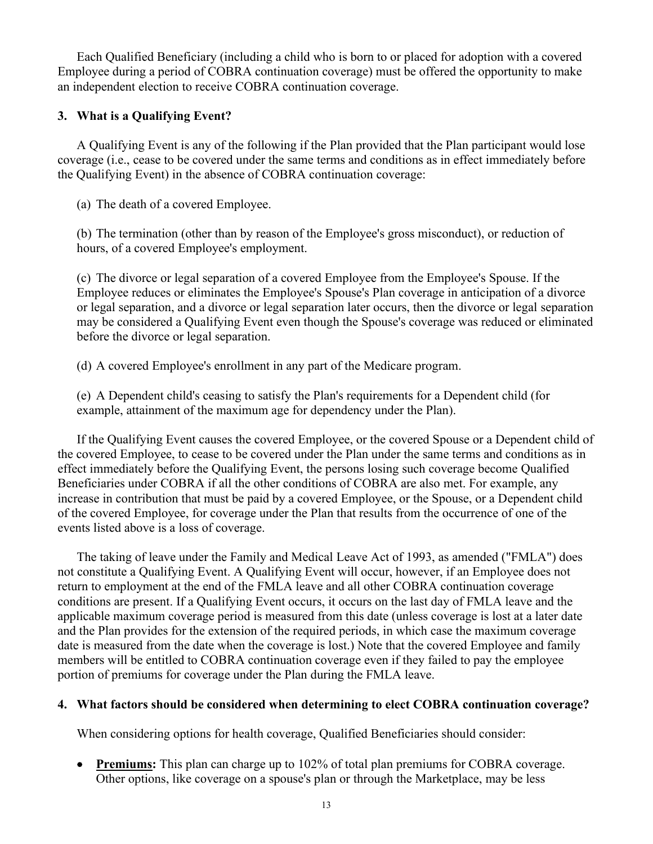Each Qualified Beneficiary (including a child who is born to or placed for adoption with a covered Employee during a period of COBRA continuation coverage) must be offered the opportunity to make an independent election to receive COBRA continuation coverage.

# **3. What is a Qualifying Event?**

A Qualifying Event is any of the following if the Plan provided that the Plan participant would lose coverage (i.e., cease to be covered under the same terms and conditions as in effect immediately before the Qualifying Event) in the absence of COBRA continuation coverage:

(a) The death of a covered Employee.

(b) The termination (other than by reason of the Employee's gross misconduct), or reduction of hours, of a covered Employee's employment.

(c) The divorce or legal separation of a covered Employee from the Employee's Spouse. If the Employee reduces or eliminates the Employee's Spouse's Plan coverage in anticipation of a divorce or legal separation, and a divorce or legal separation later occurs, then the divorce or legal separation may be considered a Qualifying Event even though the Spouse's coverage was reduced or eliminated before the divorce or legal separation.

(d) A covered Employee's enrollment in any part of the Medicare program.

(e) A Dependent child's ceasing to satisfy the Plan's requirements for a Dependent child (for example, attainment of the maximum age for dependency under the Plan).

If the Qualifying Event causes the covered Employee, or the covered Spouse or a Dependent child of the covered Employee, to cease to be covered under the Plan under the same terms and conditions as in effect immediately before the Qualifying Event, the persons losing such coverage become Qualified Beneficiaries under COBRA if all the other conditions of COBRA are also met. For example, any increase in contribution that must be paid by a covered Employee, or the Spouse, or a Dependent child of the covered Employee, for coverage under the Plan that results from the occurrence of one of the events listed above is a loss of coverage.

The taking of leave under the Family and Medical Leave Act of 1993, as amended ("FMLA") does not constitute a Qualifying Event. A Qualifying Event will occur, however, if an Employee does not return to employment at the end of the FMLA leave and all other COBRA continuation coverage conditions are present. If a Qualifying Event occurs, it occurs on the last day of FMLA leave and the applicable maximum coverage period is measured from this date (unless coverage is lost at a later date and the Plan provides for the extension of the required periods, in which case the maximum coverage date is measured from the date when the coverage is lost.) Note that the covered Employee and family members will be entitled to COBRA continuation coverage even if they failed to pay the employee portion of premiums for coverage under the Plan during the FMLA leave.

# **4. What factors should be considered when determining to elect COBRA continuation coverage?**

When considering options for health coverage, Qualified Beneficiaries should consider:

• **Premiums:** This plan can charge up to 102% of total plan premiums for COBRA coverage. Other options, like coverage on a spouse's plan or through the Marketplace, may be less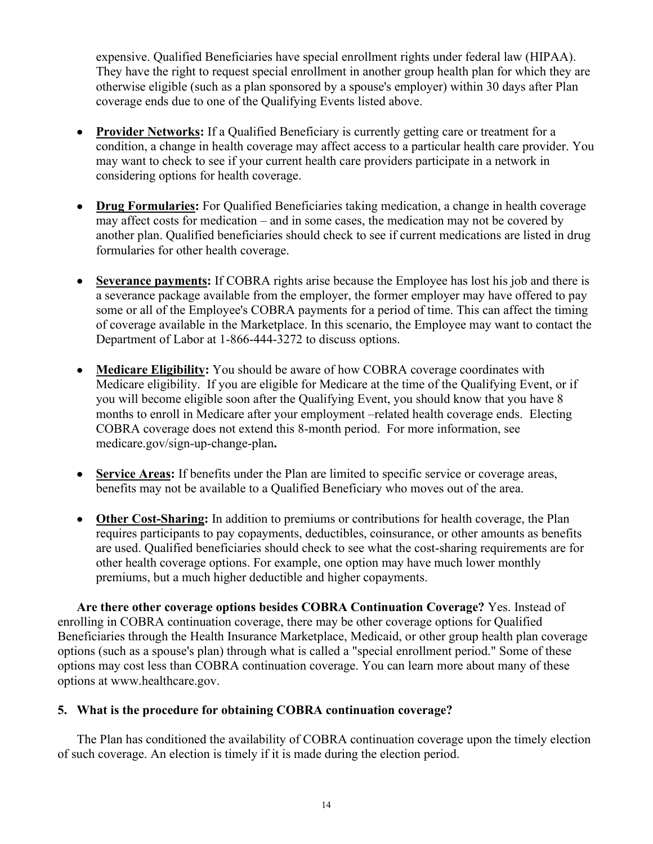expensive. Qualified Beneficiaries have special enrollment rights under federal law (HIPAA). They have the right to request special enrollment in another group health plan for which they are otherwise eligible (such as a plan sponsored by a spouse's employer) within 30 days after Plan coverage ends due to one of the Qualifying Events listed above.

- **Provider Networks:** If a Qualified Beneficiary is currently getting care or treatment for a condition, a change in health coverage may affect access to a particular health care provider. You may want to check to see if your current health care providers participate in a network in considering options for health coverage.
- **Drug Formularies:** For Qualified Beneficiaries taking medication, a change in health coverage may affect costs for medication – and in some cases, the medication may not be covered by another plan. Qualified beneficiaries should check to see if current medications are listed in drug formularies for other health coverage.
- **Severance payments:** If COBRA rights arise because the Employee has lost his job and there is a severance package available from the employer, the former employer may have offered to pay some or all of the Employee's COBRA payments for a period of time. This can affect the timing of coverage available in the Marketplace. In this scenario, the Employee may want to contact the Department of Labor at 1-866-444-3272 to discuss options.
- **Medicare Eligibility:** You should be aware of how COBRA coverage coordinates with Medicare eligibility. If you are eligible for Medicare at the time of the Qualifying Event, or if you will become eligible soon after the Qualifying Event, you should know that you have 8 months to enroll in Medicare after your employment –related health coverage ends. Electing COBRA coverage does not extend this 8-month period. For more information, see medicare.gov/sign-up-change-plan**.**
- **Service Areas:** If benefits under the Plan are limited to specific service or coverage areas, benefits may not be available to a Qualified Beneficiary who moves out of the area.
- **Other Cost-Sharing:** In addition to premiums or contributions for health coverage, the Plan requires participants to pay copayments, deductibles, coinsurance, or other amounts as benefits are used. Qualified beneficiaries should check to see what the cost-sharing requirements are for other health coverage options. For example, one option may have much lower monthly premiums, but a much higher deductible and higher copayments.

**Are there other coverage options besides COBRA Continuation Coverage?** Yes. Instead of enrolling in COBRA continuation coverage, there may be other coverage options for Qualified Beneficiaries through the Health Insurance Marketplace, Medicaid, or other group health plan coverage options (such as a spouse's plan) through what is called a "special enrollment period." Some of these options may cost less than COBRA continuation coverage. You can learn more about many of these options at www.healthcare.gov.

# **5. What is the procedure for obtaining COBRA continuation coverage?**

The Plan has conditioned the availability of COBRA continuation coverage upon the timely election of such coverage. An election is timely if it is made during the election period.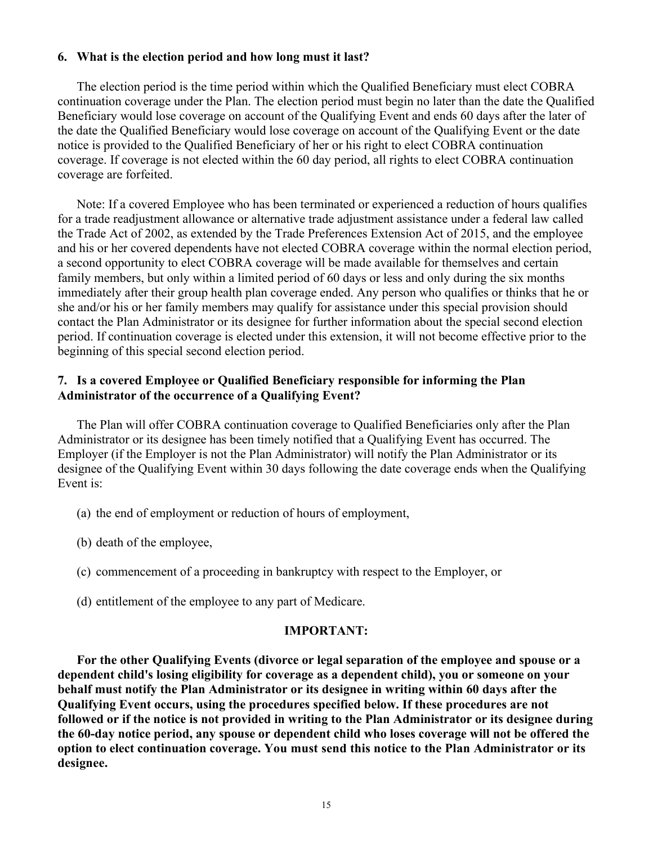# **6. What is the election period and how long must it last?**

The election period is the time period within which the Qualified Beneficiary must elect COBRA continuation coverage under the Plan. The election period must begin no later than the date the Qualified Beneficiary would lose coverage on account of the Qualifying Event and ends 60 days after the later of the date the Qualified Beneficiary would lose coverage on account of the Qualifying Event or the date notice is provided to the Qualified Beneficiary of her or his right to elect COBRA continuation coverage. If coverage is not elected within the 60 day period, all rights to elect COBRA continuation coverage are forfeited.

Note: If a covered Employee who has been terminated or experienced a reduction of hours qualifies for a trade readjustment allowance or alternative trade adjustment assistance under a federal law called the Trade Act of 2002, as extended by the Trade Preferences Extension Act of 2015, and the employee and his or her covered dependents have not elected COBRA coverage within the normal election period, a second opportunity to elect COBRA coverage will be made available for themselves and certain family members, but only within a limited period of 60 days or less and only during the six months immediately after their group health plan coverage ended. Any person who qualifies or thinks that he or she and/or his or her family members may qualify for assistance under this special provision should contact the Plan Administrator or its designee for further information about the special second election period. If continuation coverage is elected under this extension, it will not become effective prior to the beginning of this special second election period.

# **7. Is a covered Employee or Qualified Beneficiary responsible for informing the Plan Administrator of the occurrence of a Qualifying Event?**

The Plan will offer COBRA continuation coverage to Qualified Beneficiaries only after the Plan Administrator or its designee has been timely notified that a Qualifying Event has occurred. The Employer (if the Employer is not the Plan Administrator) will notify the Plan Administrator or its designee of the Qualifying Event within 30 days following the date coverage ends when the Qualifying Event is:

- (a) the end of employment or reduction of hours of employment,
- (b) death of the employee,
- (c) commencement of a proceeding in bankruptcy with respect to the Employer, or
- (d) entitlement of the employee to any part of Medicare.

#### **IMPORTANT:**

**For the other Qualifying Events (divorce or legal separation of the employee and spouse or a dependent child's losing eligibility for coverage as a dependent child), you or someone on your behalf must notify the Plan Administrator or its designee in writing within 60 days after the Qualifying Event occurs, using the procedures specified below. If these procedures are not followed or if the notice is not provided in writing to the Plan Administrator or its designee during the 60-day notice period, any spouse or dependent child who loses coverage will not be offered the option to elect continuation coverage. You must send this notice to the Plan Administrator or its designee.**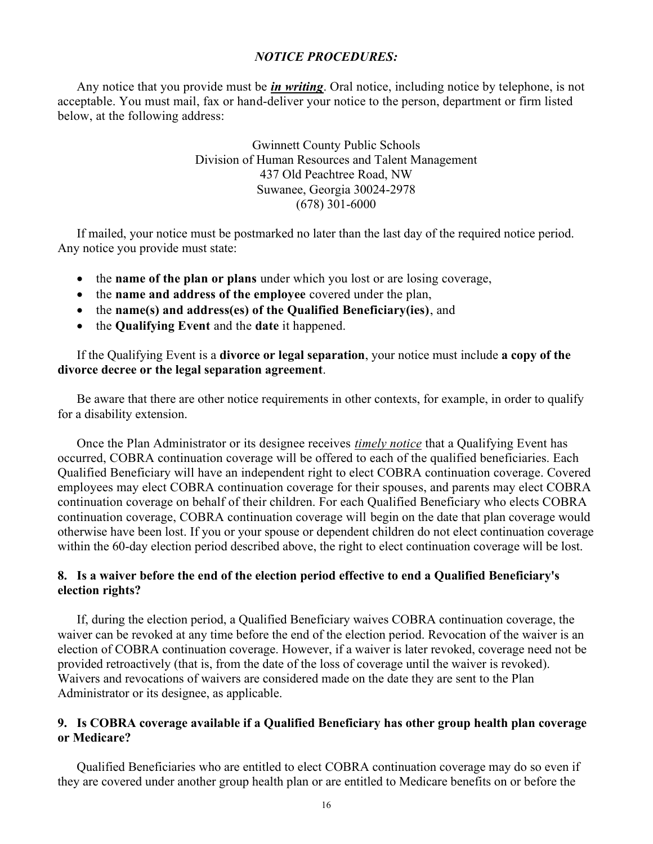# *NOTICE PROCEDURES:*

Any notice that you provide must be *in writing*. Oral notice, including notice by telephone, is not acceptable. You must mail, fax or hand-deliver your notice to the person, department or firm listed below, at the following address:

> Gwinnett County Public Schools Division of Human Resources and Talent Management 437 Old Peachtree Road, NW Suwanee, Georgia 30024-2978 (678) 301-6000

If mailed, your notice must be postmarked no later than the last day of the required notice period. Any notice you provide must state:

- the **name of the plan or plans** under which you lost or are losing coverage,
- the **name and address of the employee** covered under the plan,
- the **name(s) and address(es) of the Qualified Beneficiary(ies)**, and
- the **Qualifying Event** and the **date** it happened.

If the Qualifying Event is a **divorce or legal separation**, your notice must include **a copy of the divorce decree or the legal separation agreement**.

Be aware that there are other notice requirements in other contexts, for example, in order to qualify for a disability extension.

Once the Plan Administrator or its designee receives *timely notice* that a Qualifying Event has occurred, COBRA continuation coverage will be offered to each of the qualified beneficiaries. Each Qualified Beneficiary will have an independent right to elect COBRA continuation coverage. Covered employees may elect COBRA continuation coverage for their spouses, and parents may elect COBRA continuation coverage on behalf of their children. For each Qualified Beneficiary who elects COBRA continuation coverage, COBRA continuation coverage will begin on the date that plan coverage would otherwise have been lost. If you or your spouse or dependent children do not elect continuation coverage within the 60-day election period described above, the right to elect continuation coverage will be lost.

# **8. Is a waiver before the end of the election period effective to end a Qualified Beneficiary's election rights?**

If, during the election period, a Qualified Beneficiary waives COBRA continuation coverage, the waiver can be revoked at any time before the end of the election period. Revocation of the waiver is an election of COBRA continuation coverage. However, if a waiver is later revoked, coverage need not be provided retroactively (that is, from the date of the loss of coverage until the waiver is revoked). Waivers and revocations of waivers are considered made on the date they are sent to the Plan Administrator or its designee, as applicable.

# **9. Is COBRA coverage available if a Qualified Beneficiary has other group health plan coverage or Medicare?**

Qualified Beneficiaries who are entitled to elect COBRA continuation coverage may do so even if they are covered under another group health plan or are entitled to Medicare benefits on or before the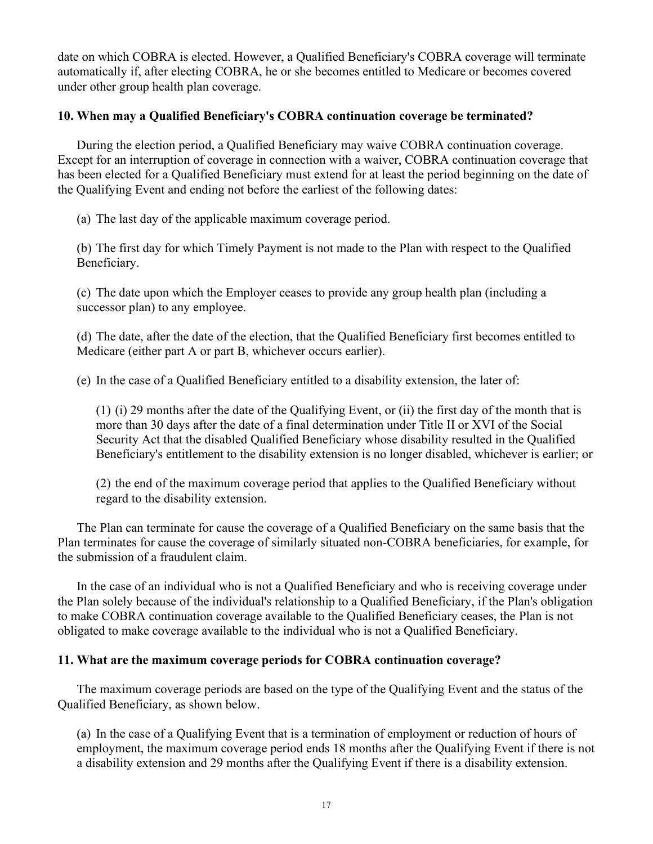date on which COBRA is elected. However, a Qualified Beneficiary's COBRA coverage will terminate automatically if, after electing COBRA, he or she becomes entitled to Medicare or becomes covered under other group health plan coverage.

# **10. When may a Qualified Beneficiary's COBRA continuation coverage be terminated?**

During the election period, a Qualified Beneficiary may waive COBRA continuation coverage. Except for an interruption of coverage in connection with a waiver, COBRA continuation coverage that has been elected for a Qualified Beneficiary must extend for at least the period beginning on the date of the Qualifying Event and ending not before the earliest of the following dates:

(a) The last day of the applicable maximum coverage period.

(b) The first day for which Timely Payment is not made to the Plan with respect to the Qualified Beneficiary.

(c) The date upon which the Employer ceases to provide any group health plan (including a successor plan) to any employee.

(d) The date, after the date of the election, that the Qualified Beneficiary first becomes entitled to Medicare (either part A or part B, whichever occurs earlier).

(e) In the case of a Qualified Beneficiary entitled to a disability extension, the later of:

(1) (i) 29 months after the date of the Qualifying Event, or (ii) the first day of the month that is more than 30 days after the date of a final determination under Title II or XVI of the Social Security Act that the disabled Qualified Beneficiary whose disability resulted in the Qualified Beneficiary's entitlement to the disability extension is no longer disabled, whichever is earlier; or

(2) the end of the maximum coverage period that applies to the Qualified Beneficiary without regard to the disability extension.

The Plan can terminate for cause the coverage of a Qualified Beneficiary on the same basis that the Plan terminates for cause the coverage of similarly situated non-COBRA beneficiaries, for example, for the submission of a fraudulent claim.

In the case of an individual who is not a Qualified Beneficiary and who is receiving coverage under the Plan solely because of the individual's relationship to a Qualified Beneficiary, if the Plan's obligation to make COBRA continuation coverage available to the Qualified Beneficiary ceases, the Plan is not obligated to make coverage available to the individual who is not a Qualified Beneficiary.

# **11. What are the maximum coverage periods for COBRA continuation coverage?**

The maximum coverage periods are based on the type of the Qualifying Event and the status of the Qualified Beneficiary, as shown below.

(a) In the case of a Qualifying Event that is a termination of employment or reduction of hours of employment, the maximum coverage period ends 18 months after the Qualifying Event if there is not a disability extension and 29 months after the Qualifying Event if there is a disability extension.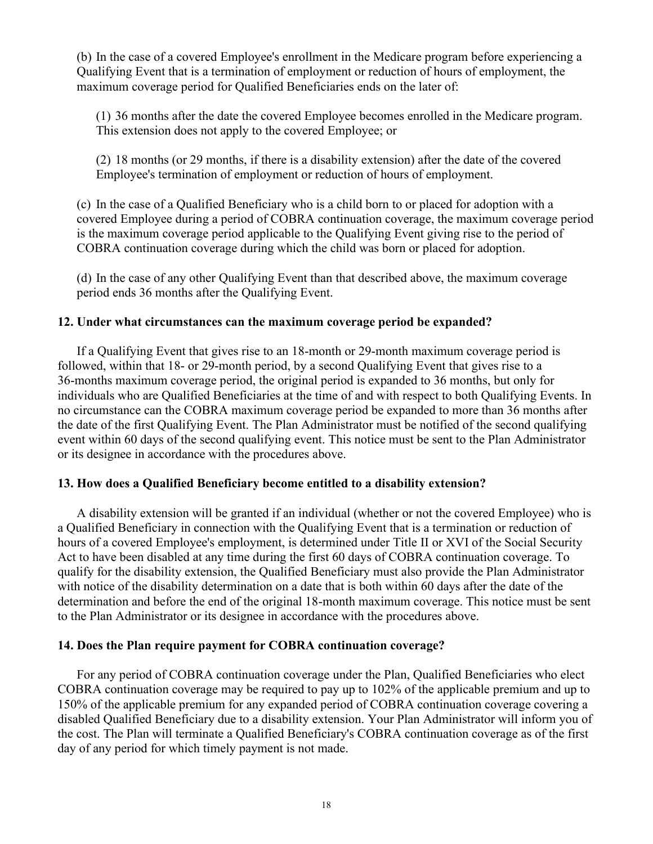(b) In the case of a covered Employee's enrollment in the Medicare program before experiencing a Qualifying Event that is a termination of employment or reduction of hours of employment, the maximum coverage period for Qualified Beneficiaries ends on the later of:

(1) 36 months after the date the covered Employee becomes enrolled in the Medicare program. This extension does not apply to the covered Employee; or

(2) 18 months (or 29 months, if there is a disability extension) after the date of the covered Employee's termination of employment or reduction of hours of employment.

(c) In the case of a Qualified Beneficiary who is a child born to or placed for adoption with a covered Employee during a period of COBRA continuation coverage, the maximum coverage period is the maximum coverage period applicable to the Qualifying Event giving rise to the period of COBRA continuation coverage during which the child was born or placed for adoption.

(d) In the case of any other Qualifying Event than that described above, the maximum coverage period ends 36 months after the Qualifying Event.

# **12. Under what circumstances can the maximum coverage period be expanded?**

If a Qualifying Event that gives rise to an 18-month or 29-month maximum coverage period is followed, within that 18- or 29-month period, by a second Qualifying Event that gives rise to a 36-months maximum coverage period, the original period is expanded to 36 months, but only for individuals who are Qualified Beneficiaries at the time of and with respect to both Qualifying Events. In no circumstance can the COBRA maximum coverage period be expanded to more than 36 months after the date of the first Qualifying Event. The Plan Administrator must be notified of the second qualifying event within 60 days of the second qualifying event. This notice must be sent to the Plan Administrator or its designee in accordance with the procedures above.

# **13. How does a Qualified Beneficiary become entitled to a disability extension?**

A disability extension will be granted if an individual (whether or not the covered Employee) who is a Qualified Beneficiary in connection with the Qualifying Event that is a termination or reduction of hours of a covered Employee's employment, is determined under Title II or XVI of the Social Security Act to have been disabled at any time during the first 60 days of COBRA continuation coverage. To qualify for the disability extension, the Qualified Beneficiary must also provide the Plan Administrator with notice of the disability determination on a date that is both within 60 days after the date of the determination and before the end of the original 18-month maximum coverage. This notice must be sent to the Plan Administrator or its designee in accordance with the procedures above.

# **14. Does the Plan require payment for COBRA continuation coverage?**

For any period of COBRA continuation coverage under the Plan, Qualified Beneficiaries who elect COBRA continuation coverage may be required to pay up to 102% of the applicable premium and up to 150% of the applicable premium for any expanded period of COBRA continuation coverage covering a disabled Qualified Beneficiary due to a disability extension. Your Plan Administrator will inform you of the cost. The Plan will terminate a Qualified Beneficiary's COBRA continuation coverage as of the first day of any period for which timely payment is not made.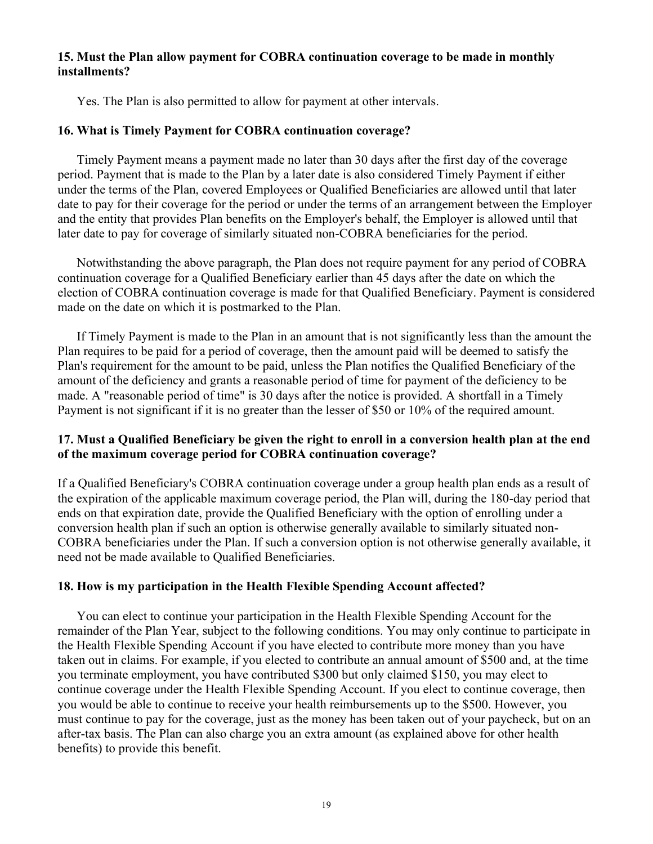# **15. Must the Plan allow payment for COBRA continuation coverage to be made in monthly installments?**

Yes. The Plan is also permitted to allow for payment at other intervals.

### **16. What is Timely Payment for COBRA continuation coverage?**

Timely Payment means a payment made no later than 30 days after the first day of the coverage period. Payment that is made to the Plan by a later date is also considered Timely Payment if either under the terms of the Plan, covered Employees or Qualified Beneficiaries are allowed until that later date to pay for their coverage for the period or under the terms of an arrangement between the Employer and the entity that provides Plan benefits on the Employer's behalf, the Employer is allowed until that later date to pay for coverage of similarly situated non-COBRA beneficiaries for the period.

Notwithstanding the above paragraph, the Plan does not require payment for any period of COBRA continuation coverage for a Qualified Beneficiary earlier than 45 days after the date on which the election of COBRA continuation coverage is made for that Qualified Beneficiary. Payment is considered made on the date on which it is postmarked to the Plan.

If Timely Payment is made to the Plan in an amount that is not significantly less than the amount the Plan requires to be paid for a period of coverage, then the amount paid will be deemed to satisfy the Plan's requirement for the amount to be paid, unless the Plan notifies the Qualified Beneficiary of the amount of the deficiency and grants a reasonable period of time for payment of the deficiency to be made. A "reasonable period of time" is 30 days after the notice is provided. A shortfall in a Timely Payment is not significant if it is no greater than the lesser of \$50 or 10% of the required amount.

# **17. Must a Qualified Beneficiary be given the right to enroll in a conversion health plan at the end of the maximum coverage period for COBRA continuation coverage?**

If a Qualified Beneficiary's COBRA continuation coverage under a group health plan ends as a result of the expiration of the applicable maximum coverage period, the Plan will, during the 180-day period that ends on that expiration date, provide the Qualified Beneficiary with the option of enrolling under a conversion health plan if such an option is otherwise generally available to similarly situated non-COBRA beneficiaries under the Plan. If such a conversion option is not otherwise generally available, it need not be made available to Qualified Beneficiaries.

# **18. How is my participation in the Health Flexible Spending Account affected?**

You can elect to continue your participation in the Health Flexible Spending Account for the remainder of the Plan Year, subject to the following conditions. You may only continue to participate in the Health Flexible Spending Account if you have elected to contribute more money than you have taken out in claims. For example, if you elected to contribute an annual amount of \$500 and, at the time you terminate employment, you have contributed \$300 but only claimed \$150, you may elect to continue coverage under the Health Flexible Spending Account. If you elect to continue coverage, then you would be able to continue to receive your health reimbursements up to the \$500. However, you must continue to pay for the coverage, just as the money has been taken out of your paycheck, but on an after-tax basis. The Plan can also charge you an extra amount (as explained above for other health benefits) to provide this benefit.